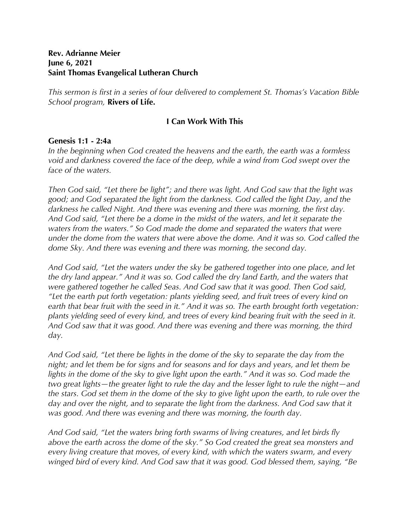## **Rev. Adrianne Meier June 6, 2021 Saint Thomas Evangelical Lutheran Church**

*This sermon is first in a series of four delivered to complement St. Thomas's Vacation Bible School program,* **Rivers of Life.**

## **I Can Work With This**

## **Genesis 1:1 - 2:4a**

*In the beginning when God created the heavens and the earth, the earth was a formless void and darkness covered the face of the deep, while a wind from God swept over the face of the waters.*

*Then God said, "Let there be light"; and there was light. And God saw that the light was good; and God separated the light from the darkness. God called the light Day, and the darkness he called Night. And there was evening and there was morning, the first day. And God said, "Let there be a dome in the midst of the waters, and let it separate the waters from the waters." So God made the dome and separated the waters that were under the dome from the waters that were above the dome. And it was so. God called the dome Sky. And there was evening and there was morning, the second day.*

*And God said, "Let the waters under the sky be gathered together into one place, and let the dry land appear." And it was so. God called the dry land Earth, and the waters that were gathered together he called Seas. And God saw that it was good. Then God said, "Let the earth put forth vegetation: plants yielding seed, and fruit trees of every kind on earth that bear fruit with the seed in it." And it was so. The earth brought forth vegetation: plants yielding seed of every kind, and trees of every kind bearing fruit with the seed in it. And God saw that it was good. And there was evening and there was morning, the third day.*

*And God said, "Let there be lights in the dome of the sky to separate the day from the night; and let them be for signs and for seasons and for days and years, and let them be lights in the dome of the sky to give light upon the earth." And it was so. God made the two great lights—the greater light to rule the day and the lesser light to rule the night—and the stars. God set them in the dome of the sky to give light upon the earth, to rule over the*  day and over the night, and to separate the light from the darkness. And God saw that it *was good. And there was evening and there was morning, the fourth day.*

*And God said, "Let the waters bring forth swarms of living creatures, and let birds fly above the earth across the dome of the sky." So God created the great sea monsters and every living creature that moves, of every kind, with which the waters swarm, and every winged bird of every kind. And God saw that it was good. God blessed them, saying, "Be*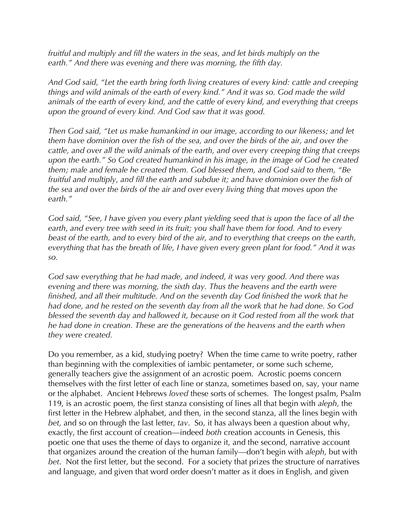*fruitful and multiply and fill the waters in the seas, and let birds multiply on the earth." And there was evening and there was morning, the fifth day.*

*And God said, "Let the earth bring forth living creatures of every kind: cattle and creeping things and wild animals of the earth of every kind." And it was so. God made the wild animals of the earth of every kind, and the cattle of every kind, and everything that creeps upon the ground of every kind. And God saw that it was good.*

*Then God said, "Let us make humankind in our image, according to our likeness; and let them have dominion over the fish of the sea, and over the birds of the air, and over the cattle, and over all the wild animals of the earth, and over every creeping thing that creeps upon the earth." So God created humankind in his image, in the image of God he created them; male and female he created them. God blessed them, and God said to them, "Be fruitful and multiply, and fill the earth and subdue it; and have dominion over the fish of the sea and over the birds of the air and over every living thing that moves upon the earth."*

*God said, "See, I have given you every plant yielding seed that is upon the face of all the earth, and every tree with seed in its fruit; you shall have them for food. And to every beast of the earth, and to every bird of the air, and to everything that creeps on the earth, everything that has the breath of life, I have given every green plant for food." And it was so.*

*God saw everything that he had made, and indeed, it was very good. And there was evening and there was morning, the sixth day. Thus the heavens and the earth were finished, and all their multitude. And on the seventh day God finished the work that he had done, and he rested on the seventh day from all the work that he had done. So God blessed the seventh day and hallowed it, because on it God rested from all the work that he had done in creation. These are the generations of the heavens and the earth when they were created.*

Do you remember, as a kid, studying poetry? When the time came to write poetry, rather than beginning with the complexities of iambic pentameter, or some such scheme, generally teachers give the assignment of an acrostic poem. Acrostic poems concern themselves with the first letter of each line or stanza, sometimes based on, say, your name or the alphabet. Ancient Hebrews *loved* these sorts of schemes. The longest psalm, Psalm 119, is an acrostic poem, the first stanza consisting of lines all that begin with *aleph,* the first letter in the Hebrew alphabet, and then, in the second stanza, all the lines begin with *bet*, and so on through the last letter, *tav*. So, it has always been a question about why, exactly, the first account of creation—indeed *both* creation accounts in Genesis, this poetic one that uses the theme of days to organize it, and the second, narrative account that organizes around the creation of the human family—don't begin with *aleph*, but with *bet*. Not the first letter, but the second. For a society that prizes the structure of narratives and language, and given that word order doesn't matter as it does in English, and given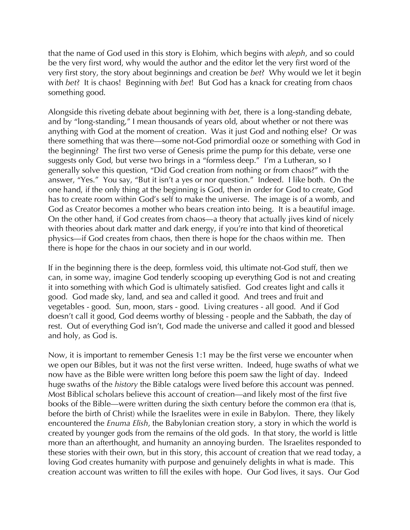that the name of God used in this story is Elohim, which begins with *aleph*, and so could be the very first word, why would the author and the editor let the very first word of the very first story, the story about beginnings and creation be *bet*? Why would we let it begin with *bet*? It is chaos! Beginning with *bet*! But God has a knack for creating from chaos something good.

Alongside this riveting debate about beginning with *bet*, there is a long-standing debate, and by "long-standing," I mean thousands of years old, about whether or not there was anything with God at the moment of creation. Was it just God and nothing else? Or was there something that was there—some not-God primordial ooze or something with God in the beginning? The first two verse of Genesis prime the pump for this debate, verse one suggests only God, but verse two brings in a "formless deep." I'm a Lutheran, so I generally solve this question, "Did God creation from nothing or from chaos?" with the answer, "Yes." You say, "But it isn't a yes or nor question." Indeed. I like both. On the one hand, if the only thing at the beginning is God, then in order for God to create, God has to create room within God's self to make the universe. The image is of a womb, and God as Creator becomes a mother who bears creation into being. It is a beautiful image. On the other hand, if God creates from chaos—a theory that actually jives kind of nicely with theories about dark matter and dark energy, if you're into that kind of theoretical physics—if God creates from chaos, then there is hope for the chaos within me. Then there is hope for the chaos in our society and in our world.

If in the beginning there is the deep, formless void, this ultimate not-God stuff, then we can, in some way, imagine God tenderly scooping up everything God is not and creating it into something with which God is ultimately satisfied. God creates light and calls it good. God made sky, land, and sea and called it good. And trees and fruit and vegetables - good. Sun, moon, stars - good. Living creatures - all good. And if God doesn't call it good, God deems worthy of blessing - people and the Sabbath, the day of rest. Out of everything God isn't, God made the universe and called it good and blessed and holy, as God is.

Now, it is important to remember Genesis 1:1 may be the first verse we encounter when we open our Bibles, but it was not the first verse written. Indeed, huge swaths of what we now have as the Bible were written long before this poem saw the light of day. Indeed huge swaths of the *history* the Bible catalogs were lived before this account was penned. Most Biblical scholars believe this account of creation—and likely most of the first five books of the Bible—were written during the sixth century before the common era (that is, before the birth of Christ) while the Israelites were in exile in Babylon. There, they likely encountered the *Enuma Elish*, the Babylonian creation story, a story in which the world is created by younger gods from the remains of the old gods. In that story, the world is little more than an afterthought, and humanity an annoying burden. The Israelites responded to these stories with their own, but in this story, this account of creation that we read today, a loving God creates humanity with purpose and genuinely delights in what is made. This creation account was written to fill the exiles with hope. Our God lives, it says. Our God